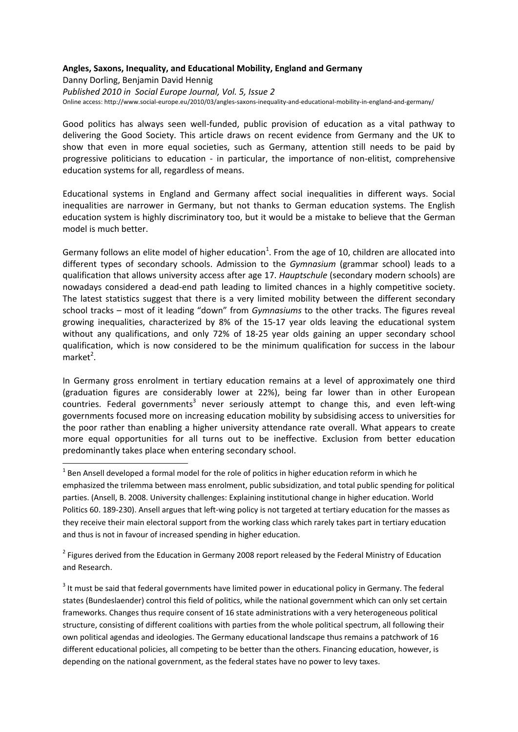## **Angles, Saxons, Inequality, and Educational Mobility, England and Germany**

Danny Dorling, Benjamin David Hennig *Published 2010 in Social Europe Journal, Vol. 5, Issue 2* Online access: http://www.social-europe.eu/2010/03/angles-saxons-inequality-and-educational-mobility-in-england-and-germany/

Good politics has always seen well-funded, public provision of education as a vital pathway to delivering the Good Society. This article draws on recent evidence from Germany and the UK to show that even in more equal societies, such as Germany, attention still needs to be paid by progressive politicians to education - in particular, the importance of non-elitist, comprehensive education systems for all, regardless of means.

Educational systems in England and Germany affect social inequalities in different ways. Social inequalities are narrower in Germany, but not thanks to German education systems. The English education system is highly discriminatory too, but it would be a mistake to believe that the German model is much better.

Germany follows an elite model of higher education<sup>1</sup>. From the age of 10, children are allocated into different types of secondary schools. Admission to the *Gymnasium* (grammar school) leads to a qualification that allows university access after age 17. *Hauptschule* (secondary modern schools) are nowadays considered a dead-end path leading to limited chances in a highly competitive society. The latest statistics suggest that there is a very limited mobility between the different secondary school tracks – most of it leading "down" from *Gymnasiums* to the other tracks. The figures reveal growing inequalities, characterized by 8% of the 15-17 year olds leaving the educational system without any qualifications, and only 72% of 18-25 year olds gaining an upper secondary school qualification, which is now considered to be the minimum qualification for success in the labour market<sup>2</sup>.

In Germany gross enrolment in tertiary education remains at a level of approximately one third (graduation figures are considerably lower at 22%), being far lower than in other European countries. Federal governments<sup>3</sup> never seriously attempt to change this, and even left-wing governments focused more on increasing education mobility by subsidising access to universities for the poor rather than enabling a higher university attendance rate overall. What appears to create more equal opportunities for all turns out to be ineffective. Exclusion from better education predominantly takes place when entering secondary school.

**.** 

<sup>2</sup> Figures derived from the Education in Germany 2008 report released by the Federal Ministry of Education and Research.

 $3$  It must be said that federal governments have limited power in educational policy in Germany. The federal states (Bundeslaender) control this field of politics, while the national government which can only set certain frameworks. Changes thus require consent of 16 state administrations with a very heterogeneous political structure, consisting of different coalitions with parties from the whole political spectrum, all following their own political agendas and ideologies. The Germany educational landscape thus remains a patchwork of 16 different educational policies, all competing to be better than the others. Financing education, however, is depending on the national government, as the federal states have no power to levy taxes.

 $1$  Ben Ansell developed a formal model for the role of politics in higher education reform in which he emphasized the trilemma between mass enrolment, public subsidization, and total public spending for political parties. (Ansell, B. 2008. University challenges: Explaining institutional change in higher education. World Politics 60. 189-230). Ansell argues that left-wing policy is not targeted at tertiary education for the masses as they receive their main electoral support from the working class which rarely takes part in tertiary education and thus is not in favour of increased spending in higher education.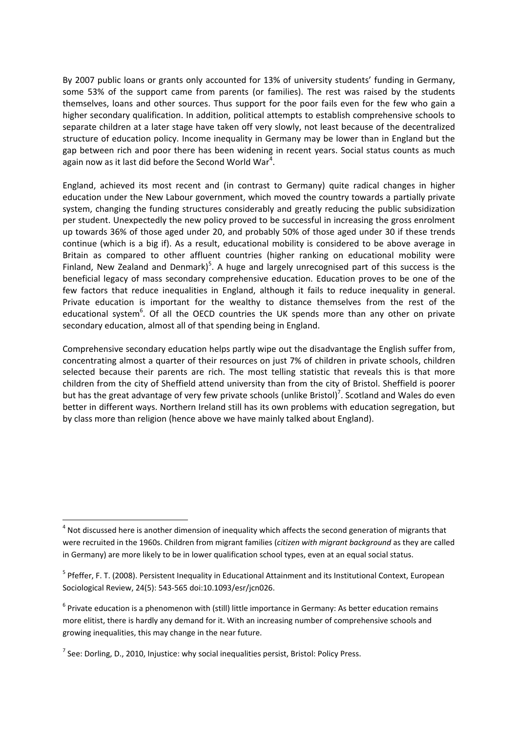By 2007 public loans or grants only accounted for 13% of university students' funding in Germany, some 53% of the support came from parents (or families). The rest was raised by the students themselves, loans and other sources. Thus support for the poor fails even for the few who gain a higher secondary qualification. In addition, political attempts to establish comprehensive schools to separate children at a later stage have taken off very slowly, not least because of the decentralized structure of education policy. Income inequality in Germany may be lower than in England but the gap between rich and poor there has been widening in recent years. Social status counts as much again now as it last did before the Second World War<sup>4</sup>.

England, achieved its most recent and (in contrast to Germany) quite radical changes in higher education under the New Labour government, which moved the country towards a partially private system, changing the funding structures considerably and greatly reducing the public subsidization per student. Unexpectedly the new policy proved to be successful in increasing the gross enrolment up towards 36% of those aged under 20, and probably 50% of those aged under 30 if these trends continue (which is a big if). As a result, educational mobility is considered to be above average in Britain as compared to other affluent countries (higher ranking on educational mobility were Finland, New Zealand and Denmark)<sup>5</sup>. A huge and largely unrecognised part of this success is the beneficial legacy of mass secondary comprehensive education. Education proves to be one of the few factors that reduce inequalities in England, although it fails to reduce inequality in general. Private education is important for the wealthy to distance themselves from the rest of the educational system<sup>6</sup>. Of all the OECD countries the UK spends more than any other on private secondary education, almost all of that spending being in England.

Comprehensive secondary education helps partly wipe out the disadvantage the English suffer from, concentrating almost a quarter of their resources on just 7% of children in private schools, children selected because their parents are rich. The most telling statistic that reveals this is that more children from the city of Sheffield attend university than from the city of Bristol. Sheffield is poorer but has the great advantage of very few private schools (unlike Bristol)<sup>7</sup>. Scotland and Wales do even better in different ways. Northern Ireland still has its own problems with education segregation, but by class more than religion (hence above we have mainly talked about England).

**.** 

 $<sup>4</sup>$  Not discussed here is another dimension of inequality which affects the second generation of migrants that</sup> were recruited in the 1960s. Children from migrant families (*citizen with migrant background* as they are called in Germany) are more likely to be in lower qualification school types, even at an equal social status.

<sup>&</sup>lt;sup>5</sup> Pfeffer, F. T. (2008). Persistent Inequality in Educational Attainment and its Institutional Context, European Sociological Review, 24(5): 543-565 doi:10.1093/esr/jcn026.

<sup>&</sup>lt;sup>6</sup> Private education is a phenomenon with (still) little importance in Germany: As better education remains more elitist, there is hardly any demand for it. With an increasing number of comprehensive schools and growing inequalities, this may change in the near future.

 $^7$  See: Dorling, D., 2010, Injustice: why social inequalities persist, Bristol: Policy Press.